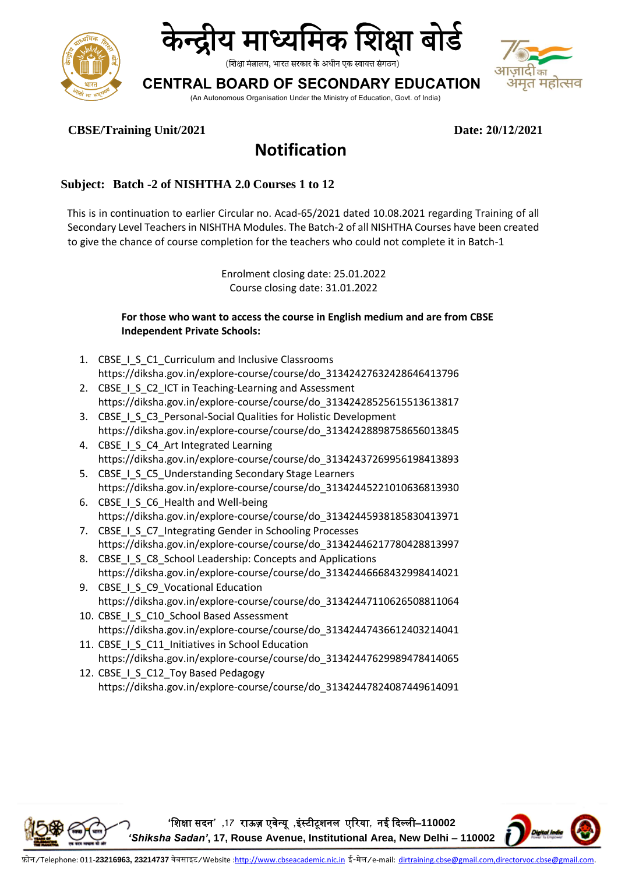



## **CENTRAL BOARD OF SECONDARY EDUCATION**



(An Autonomous Organisation Under the Ministry of Education, Govt. of India)

**CBSE/Training Unit/2021 Date: 20/12/2021**

# **Notification**

### **Subject: Batch -2 of NISHTHA 2.0 Courses 1 to 12**

This is in continuation to earlier Circular no. Acad-65/2021 dated 10.08.2021 regarding Training of all Secondary Level Teachers in NISHTHA Modules. The Batch-2 of all NISHTHA Courses have been created to give the chance of course completion for the teachers who could not complete it in Batch-1

> Enrolment closing date: 25.01.2022 Course closing date: 31.01.2022

#### **For those who want to access the course in English medium and are from CBSE Independent Private Schools:**

- 1. CBSE I S C1 Curriculum and Inclusive Classrooms https://diksha.gov.in/explore-course/course/do\_31342427632428646413796
- 2. CBSE I S C2 ICT in Teaching-Learning and Assessment https://diksha.gov.in/explore-course/course/do\_31342428525615513613817
- 3. CBSE I S C3 Personal-Social Qualities for Holistic Development https://diksha.gov.in/explore-course/course/do\_31342428898758656013845
- 4. CBSE I S C4 Art Integrated Learning https://diksha.gov.in/explore-course/course/do\_31342437269956198413893
- 5. CBSE I S C5 Understanding Secondary Stage Learners https://diksha.gov.in/explore-course/course/do\_31342445221010636813930
- 6. CBSE I S C6 Health and Well-being https://diksha.gov.in/explore-course/course/do\_31342445938185830413971
- 7. CBSE\_I\_S\_C7\_Integrating Gender in Schooling Processes https://diksha.gov.in/explore-course/course/do\_31342446217780428813997
- 8. CBSE I S C8 School Leadership: Concepts and Applications https://diksha.gov.in/explore-course/course/do\_31342446668432998414021
- 9. CBSE I S C9 Vocational Education https://diksha.gov.in/explore-course/course/do\_31342447110626508811064
- 10. CBSE I S C10 School Based Assessment https://diksha.gov.in/explore-course/course/do\_31342447436612403214041
- 11. CBSE I S C11 Initiatives in School Education https://diksha.gov.in/explore-course/course/do\_31342447629989478414065
- 12. CBSE I S C12 Toy Based Pedagogy https://diksha.gov.in/explore-course/course/do\_31342447824087449614091

**'**शिक्षा सदन**' ,17** राऊज़ एवेन्यू **,**इंस्टीटूिनल एररया**,** नई ददल्ली–**110002**  *'Shiksha Sadan'***, 17, Rouse Avenue, Institutional Area, New Delhi – 110002**

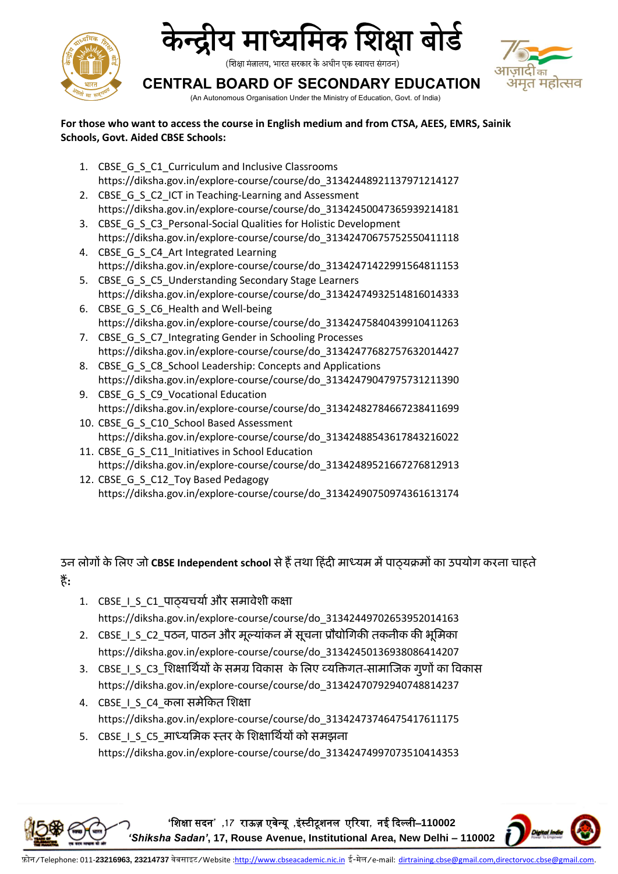



## **CENTRAL BOARD OF SECONDARY EDUCATION**



(An Autonomous Organisation Under the Ministry of Education, Govt. of India)

**For those who want to access the course in English medium and from CTSA, AEES, EMRS, Sainik Schools, Govt. Aided CBSE Schools:** 

- 1. CBSE\_G\_S\_C1\_Curriculum and Inclusive Classrooms https://diksha.gov.in/explore-course/course/do\_31342448921137971214127
- 2. CBSE\_G\_S\_C2\_ICT in Teaching-Learning and Assessment https://diksha.gov.in/explore-course/course/do\_31342450047365939214181
- 3. CBSE G S C3 Personal-Social Qualities for Holistic Development https://diksha.gov.in/explore-course/course/do\_31342470675752550411118
- 4. CBSE G S C4 Art Integrated Learning https://diksha.gov.in/explore-course/course/do\_31342471422991564811153
- 5. CBSE G S C5 Understanding Secondary Stage Learners https://diksha.gov.in/explore-course/course/do\_31342474932514816014333 6. CBSE G S C6 Health and Well-being
- https://diksha.gov.in/explore-course/course/do\_31342475840439910411263 7. CBSE G S C7 Integrating Gender in Schooling Processes
- https://diksha.gov.in/explore-course/course/do\_31342477682757632014427 8. CBSE G S C8 School Leadership: Concepts and Applications
- https://diksha.gov.in/explore-course/course/do\_31342479047975731211390 9. CBSE\_G\_S\_C9\_Vocational Education
- https://diksha.gov.in/explore-course/course/do\_31342482784667238411699
- 10. CBSE\_G\_S\_C10\_School Based Assessment https://diksha.gov.in/explore-course/course/do\_31342488543617843216022
- 11. CBSE\_G\_S\_C11\_Initiatives in School Education https://diksha.gov.in/explore-course/course/do\_31342489521667276812913
- 12. CBSE G S C12 Toy Based Pedagogy https://diksha.gov.in/explore-course/course/do\_31342490750974361613174

**उन लोगों के ललए जो CBSE Independent school सेहैंतथा हहिंदी माध्यम मेंपाठ्यक्रमों का उपयोग करना चाहते हैं:**

- 1. CBSE\_I\_S\_C1\_पाठ्यचर्या और समावेशी कक्षा https://diksha.gov.in/explore-course/course/do\_31342449702653952014163
- 2. CBSE\_I\_S\_C2\_पठन, पाठन और मूल्यांकन में सूचना प्रौद्योगिकी तकनीक की भूमिका https://diksha.gov.in/explore-course/course/do\_31342450136938086414207
- 3. CBSE\_I\_S\_C3\_शिक्षार्थियों के समग्र विकास के लिए व्यक्तिगत-सामाजिक गूणों का विकास https://diksha.gov.in/explore-course/course/do\_31342470792940748814237
- 4. CBSE\_I\_S\_C4\_कला समेकित शिक्षा https://diksha.gov.in/explore-course/course/do\_31342473746475417611175
- 5. CBSE I S C5 माध्यमिक स्तर के शिक्षार्थियों को समझना https://diksha.gov.in/explore-course/course/do\_31342474997073510414353

**'**शिक्षा सदन**' ,17** राऊज़ एवेन्यू **,**इंस्टीटूिनल एररया**,** नई ददल्ली–**110002** 



*'Shiksha Sadan'***, 17, Rouse Avenue, Institutional Area, New Delhi – 110002**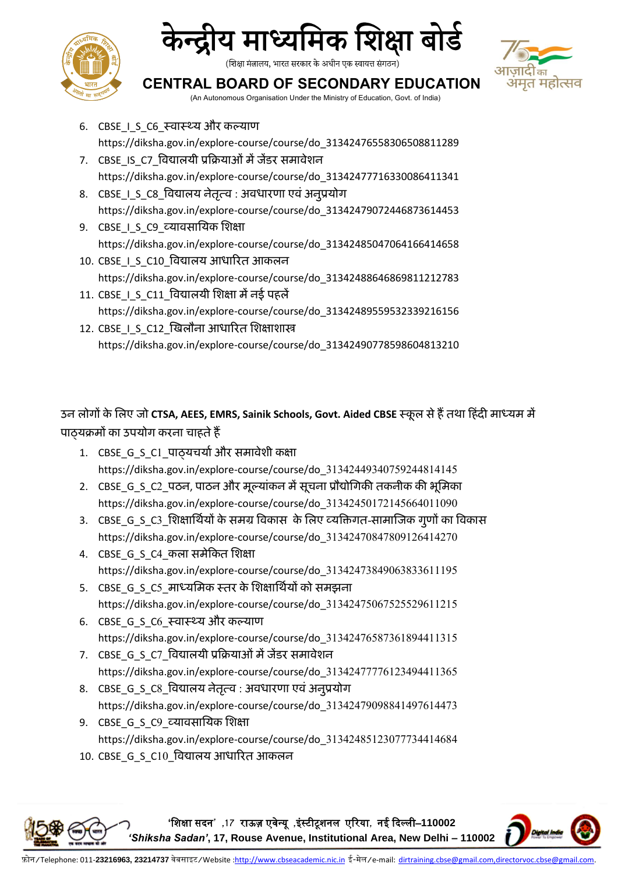





**CENTRAL BOARD OF SECONDARY EDUCATION**

(An Autonomous Organisation Under the Ministry of Education, Govt. of India)

- 6. CBSE I S C6 स्वास्थ्य और कल्याण https://diksha.gov.in/explore-course/course/do\_31342476558306508811289 7. CBSE\_IS\_C7\_विद्यालयी प्रक्रियाओं में जेंडर समावेशन
- https://diksha.gov.in/explore-course/course/do\_31342477716330086411341
- 8. CBSE I S C8 विद्यालय नेतृत्व : अवधारणा एवं अनुप्रयोग https://diksha.gov.in/explore-course/course/do\_31342479072446873614453
- 9. CBSE I S C9 व्यावसायिक शिक्षा https://diksha.gov.in/explore-course/course/do\_31342485047064166414658
- 10. CBSE\_I\_S\_C10\_विद्यालय आधारित आकलन https://diksha.gov.in/explore-course/course/do\_31342488646869811212783
- 11. CBSE\_I\_S\_C11\_विद्यालयी शिक्षा में नई पहलें https://diksha.gov.in/explore-course/course/do\_31342489559532339216156
- 12. CBSE 1 S C12 खिलौना आधारित शिक्षाशास्त्र https://diksha.gov.in/explore-course/course/do\_31342490778598604813210

**उन लोगों के ललए जो CTSA, AEES, EMRS, Sainik Schools, Govt. Aided CBSE स्कू ल सेहैंतथा हहिंदी माध्यम में पाठ्यक्रमों का उपयोग करना चाहतेहैं**

- 1. CBSE G S C1 पाठ्यचर्या और समावेशी कक्षा https://diksha.gov.in/explore-course/course/do\_31342449340759244814145
- 2. CBSE\_G\_S\_C2\_पठन, पाठन और मूलयाांकन मेंसूचना प्रौद्योगिकी तकनीक की भूगमका https://diksha.gov.in/explore-course/course/do\_31342450172145664011090
- 3. CBSE\_G\_S\_C3\_शिक्षार्थियों के समग्र विकास के लिए व्यक्तिगत-सामाजिक गूणों का विकास https://diksha.gov.in/explore-course/course/do\_31342470847809126414270
- 4. CBSE\_G\_S\_C4\_कला समेकित शिक्षा https://diksha.gov.in/explore-course/course/do\_31342473849063833611195
- 5. CBSE\_G\_S\_C5\_माध्यमिक स्तर के शिक्षार्थियों को समझना https://diksha.gov.in/explore-course/course/do\_31342475067525529611215
- 6. CBSE G S C6 स्वास्थ्य और कल्याण https://diksha.gov.in/explore-course/course/do\_31342476587361894411315
- 7. CBSE\_G\_S\_C7\_विद्यालयी प्रक्रियाओं में जेंडर समावेशन https://diksha.gov.in/explore-course/course/do\_31342477776123494411365
- 8. CBSE G S C8 विद्यालय नेतृत्व : अवधारणा एवं अनुप्रयोग https://diksha.gov.in/explore-course/course/do\_31342479098841497614473
- 9. CBSE\_G\_S\_C9\_व्यावसागयक गशक्षा https://diksha.gov.in/explore-course/course/do\_31342485123077734414684
- 10. CBSE\_G\_S\_C10\_विद्यालय आधारित आकलन

**'**शिक्षा सदन**' ,17** राऊज़ एवेन्यू **,**इंस्टीटूिनल एररया**,** नई ददल्ली–**110002**  *'Shiksha Sadan'***, 17, Rouse Avenue, Institutional Area, New Delhi – 110002**

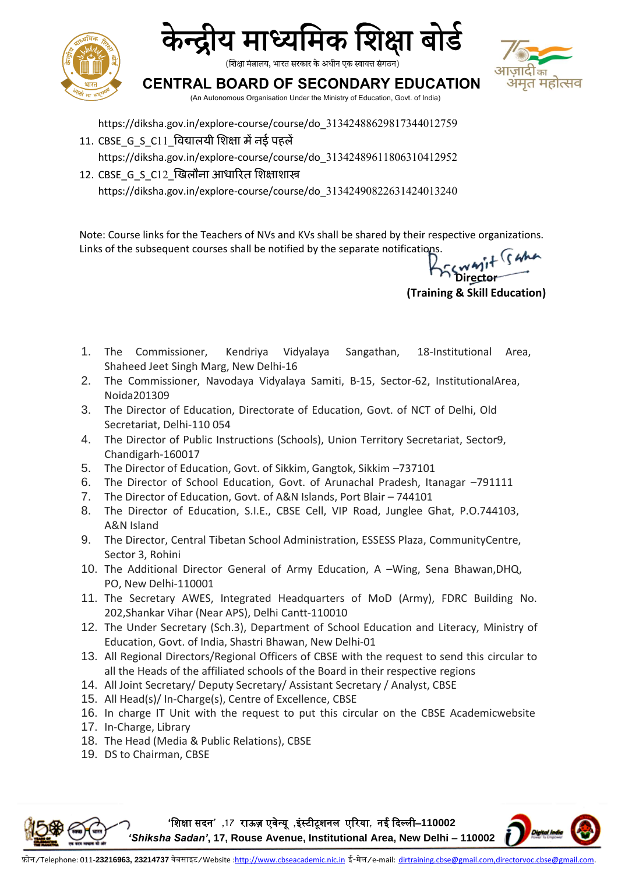





**CENTRAL BOARD OF SECONDARY EDUCATION**

(An Autonomous Organisation Under the Ministry of Education, Govt. of India)

https://diksha.gov.in/explore-course/course/do\_31342488629817344012759

- 11. CBSE\_G\_S\_C11\_विद्यालयी शिक्षा में नई पहलें https://diksha.gov.in/explore-course/course/do\_31342489611806310412952
- 12. CBSE\_G\_S\_C12\_ज्विलौना आधारित शिक्षाशास्त्र https://diksha.gov.in/explore-course/course/do\_31342490822631424013240

Note: Course links for the Teachers of NVs and KVs shall be shared by their respective organizations. Links of the subsequent courses shall be notified by the separate notifications.

**Director (Training & Skill Education)**

- 1. The Commissioner, Kendriya Vidyalaya Sangathan, 18-Institutional Area, Shaheed Jeet Singh Marg, New Delhi-16
- 2. The Commissioner, Navodaya Vidyalaya Samiti, B-15, Sector-62, InstitutionalArea, Noida201309
- 3. The Director of Education, Directorate of Education, Govt. of NCT of Delhi, Old Secretariat, Delhi-110 054
- 4. The Director of Public Instructions (Schools), Union Territory Secretariat, Sector9, Chandigarh-160017
- 5. The Director of Education, Govt. of Sikkim, Gangtok, Sikkim –737101
- 6. The Director of School Education, Govt. of Arunachal Pradesh, Itanagar –791111
- 7. The Director of Education, Govt. of A&N Islands, Port Blair 744101
- 8. The Director of Education, S.I.E., CBSE Cell, VIP Road, Junglee Ghat, P.O.744103, A&N Island
- 9. The Director, Central Tibetan School Administration, ESSESS Plaza, CommunityCentre, Sector 3, Rohini
- 10. The Additional Director General of Army Education, A –Wing, Sena Bhawan,DHQ, PO, New Delhi-110001
- 11. The Secretary AWES, Integrated Headquarters of MoD (Army), FDRC Building No. 202,Shankar Vihar (Near APS), Delhi Cantt-110010
- 12. The Under Secretary (Sch.3), Department of School Education and Literacy, Ministry of Education, Govt. of India, Shastri Bhawan, New Delhi-01
- 13. All Regional Directors/Regional Officers of CBSE with the request to send this circular to all the Heads of the affiliated schools of the Board in their respective regions
- 14. All Joint Secretary/ Deputy Secretary/ Assistant Secretary / Analyst, CBSE
- 15. All Head(s)/ In-Charge(s), Centre of Excellence, CBSE
- 16. In charge IT Unit with the request to put this circular on the CBSE Academicwebsite
- 17. In-Charge, Library
- 18. The Head (Media & Public Relations), CBSE
- 19. DS to Chairman, CBSE

**'**शिक्षा सदन**' ,17** राऊज़ एवेन्यू **,**इंस्टीटूिनल एररया**,** नई ददल्ली–**110002**  *'Shiksha Sadan'***, 17, Rouse Avenue, Institutional Area, New Delhi – 110002**